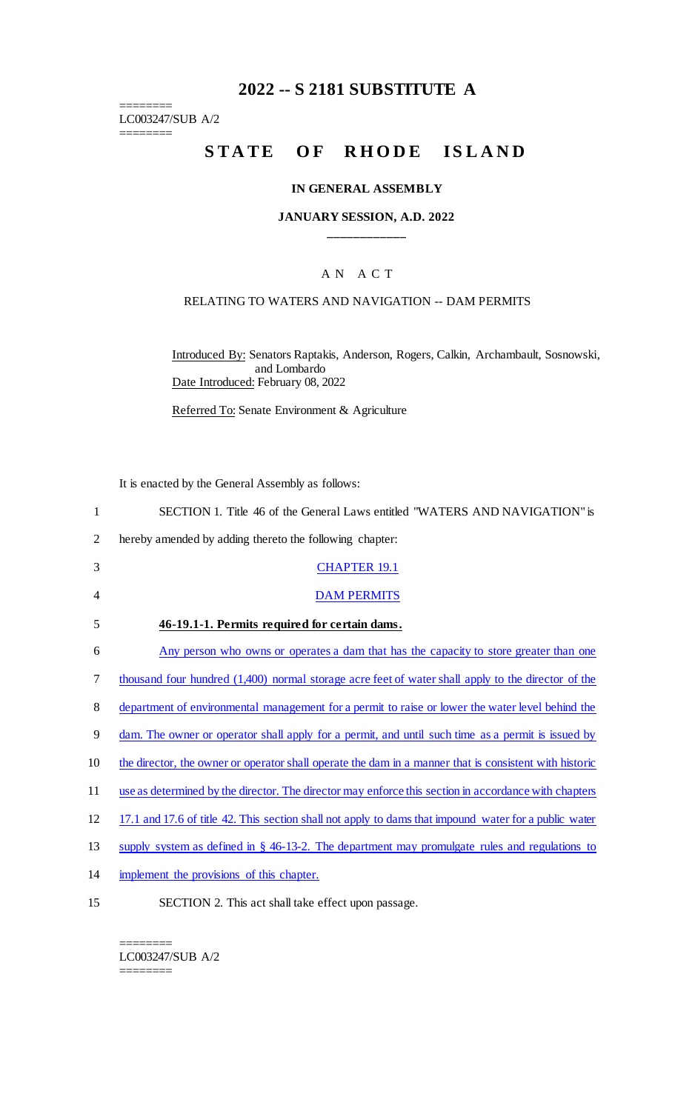## **2022 -- S 2181 SUBSTITUTE A**

LC003247/SUB A/2  $=$ 

 $\begin{tabular}{ll} \multicolumn{2}{l} {\multicolumn{2}{l}{}\\[-2mm] $\hspace{2mm} \begin{array}{c} \multicolumn{2}{l}{}\\[-2mm] \multicolumn{2}{l}{}\\[-2mm] $\hspace{2mm} \begin{array}{c} \multicolumn{2}{l}{}\\[-2mm] \multicolumn{2}{l}{}\\[-2mm] \multicolumn{2}{l}{}\\[-2mm] \multicolumn{2}{l}{}\\[-2mm] $\hspace{2mm} \begin{array}{c} \multicolumn{2}{l}{}\\[-2mm] \multicolumn{2}{l}{}\\[-2mm] $\hspace{2mm} \begin{array}{c} \multicolumn{2}{l}{}\\[-$ 

# STATE OF RHODE ISLAND

#### **IN GENERAL ASSEMBLY**

#### **JANUARY SESSION, A.D. 2022 \_\_\_\_\_\_\_\_\_\_\_\_**

## A N A C T

#### RELATING TO WATERS AND NAVIGATION -- DAM PERMITS

Introduced By: Senators Raptakis, Anderson, Rogers, Calkin, Archambault, Sosnowski, and Lombardo Date Introduced: February 08, 2022

Referred To: Senate Environment & Agriculture

It is enacted by the General Assembly as follows:

| $\mathbf{1}$   | SECTION 1. Title 46 of the General Laws entitled "WATERS AND NAVIGATION" is                            |
|----------------|--------------------------------------------------------------------------------------------------------|
| $\overline{2}$ | hereby amended by adding thereto the following chapter:                                                |
| 3              | <b>CHAPTER 19.1</b>                                                                                    |
| 4              | <b>DAM PERMITS</b>                                                                                     |
| 5              | 46-19.1-1. Permits required for certain dams.                                                          |
| 6              | Any person who owns or operates a dam that has the capacity to store greater than one                  |
| 7              | thousand four hundred (1,400) normal storage acre feet of water shall apply to the director of the     |
| 8              | department of environmental management for a permit to raise or lower the water level behind the       |
| 9              | dam. The owner or operator shall apply for a permit, and until such time as a permit is issued by      |
| 10             | the director, the owner or operator shall operate the dam in a manner that is consistent with historic |
| 11             | use as determined by the director. The director may enforce this section in accordance with chapters   |
| 12             | 17.1 and 17.6 of title 42. This section shall not apply to dams that impound water for a public water  |
| 13             | supply system as defined in $\S$ 46-13-2. The department may promulgate rules and regulations to       |
| 14             | implement the provisions of this chapter.                                                              |
| 15             | SECTION 2. This act shall take effect upon passage.                                                    |

======== LC003247/SUB A/2

========